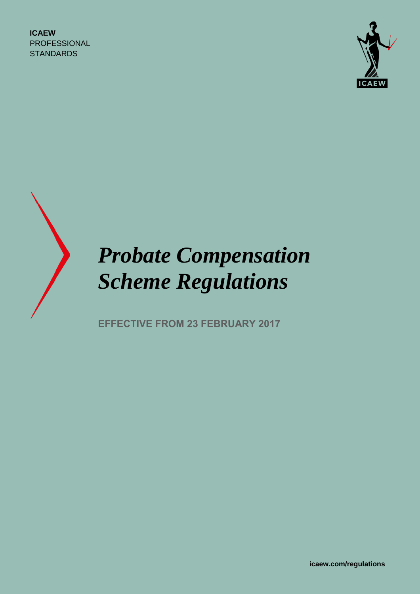**ICAEW** PROFESSIONAL **STANDARDS** 





# *Probate Compensation Scheme Regulations*

**EFFECTIVE FROM 23 FEBRUARY 2017**

**icaew.com/regulations**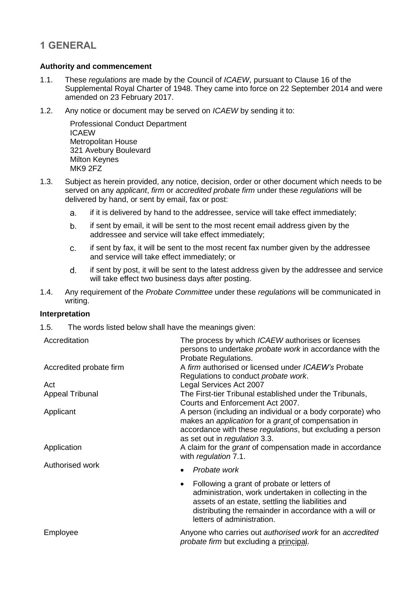### **1 GENERAL**

#### **Authority and commencement**

- 1.1. These *regulations* are made by the Council of *ICAEW*, pursuant to Clause 16 of the Supplemental Royal Charter of 1948. They came into force on 22 September 2014 and were amended on 23 February 2017.
- 1.2. Any notice or document may be served on *ICAEW* by sending it to:

Professional Conduct Department ICAEW Metropolitan House 321 Avebury Boulevard Milton Keynes MK9 2FZ

- 1.3. Subject as herein provided, any notice, decision, order or other document which needs to be served on any *applicant*, *firm* or *accredited probate firm* under these *regulations* will be delivered by hand, or sent by email, fax or post:
	- if it is delivered by hand to the addressee, service will take effect immediately; a.
	- b. if sent by email, it will be sent to the most recent email address given by the addressee and service will take effect immediately;
	- C. if sent by fax, it will be sent to the most recent fax number given by the addressee and service will take effect immediately; or
	- $d_{-}$ if sent by post, it will be sent to the latest address given by the addressee and service will take effect two business days after posting.
- 1.4. Any requirement of the *Probate Committee* under these *regulations* will be communicated in writing.

#### **Interpretation**

1.5. The words listed below shall have the meanings given:

| Accreditation            | The process by which <i>ICAEW</i> authorises or licenses<br>persons to undertake <i>probate work</i> in accordance with the<br>Probate Regulations.                                                                                                                                              |
|--------------------------|--------------------------------------------------------------------------------------------------------------------------------------------------------------------------------------------------------------------------------------------------------------------------------------------------|
| Accredited probate firm  | A firm authorised or licensed under <i>ICAEW</i> 's Probate<br>Regulations to conduct <i>probate work</i> .                                                                                                                                                                                      |
| Act                      | Legal Services Act 2007                                                                                                                                                                                                                                                                          |
| <b>Appeal Tribunal</b>   | The First-tier Tribunal established under the Tribunals,<br>Courts and Enforcement Act 2007.                                                                                                                                                                                                     |
| Applicant<br>Application | A person (including an individual or a body corporate) who<br>makes an <i>application</i> for a <i>grant</i> of compensation in<br>accordance with these regulations, but excluding a person<br>as set out in regulation 3.3.<br>A claim for the <i>grant</i> of compensation made in accordance |
|                          | with regulation 7.1.                                                                                                                                                                                                                                                                             |
| Authorised work          | Probate work                                                                                                                                                                                                                                                                                     |
|                          | Following a grant of probate or letters of<br>$\bullet$<br>administration, work undertaken in collecting in the<br>assets of an estate, settling the liabilities and<br>distributing the remainder in accordance with a will or<br>letters of administration.                                    |
| Employee                 | Anyone who carries out authorised work for an accredited<br><i>probate firm</i> but excluding a principal.                                                                                                                                                                                       |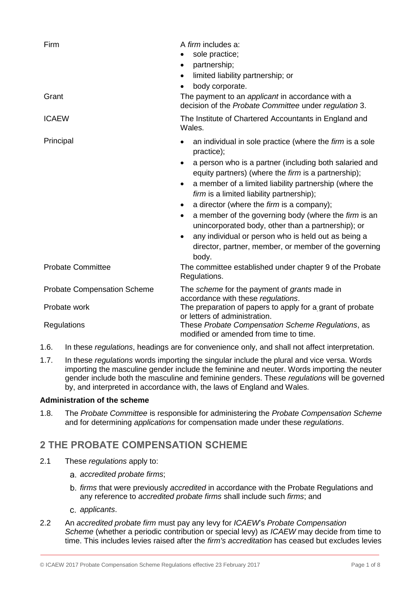| Firm<br>Grant                         | A <i>firm</i> includes a:<br>sole practice;<br>partnership;<br>٠<br>limited liability partnership; or<br>$\bullet$<br>body corporate.<br>The payment to an applicant in accordance with a<br>decision of the Probate Committee under regulation 3.                                                                                                                                                                                                                                                                                                                                                                                                                                                                 |
|---------------------------------------|--------------------------------------------------------------------------------------------------------------------------------------------------------------------------------------------------------------------------------------------------------------------------------------------------------------------------------------------------------------------------------------------------------------------------------------------------------------------------------------------------------------------------------------------------------------------------------------------------------------------------------------------------------------------------------------------------------------------|
| <b>ICAEW</b>                          | The Institute of Chartered Accountants in England and<br>Wales.                                                                                                                                                                                                                                                                                                                                                                                                                                                                                                                                                                                                                                                    |
| Principal<br><b>Probate Committee</b> | an individual in sole practice (where the firm is a sole<br>practice);<br>a person who is a partner (including both salaried and<br>equity partners) (where the firm is a partnership);<br>a member of a limited liability partnership (where the<br>$\bullet$<br>firm is a limited liability partnership);<br>a director (where the firm is a company);<br>$\bullet$<br>a member of the governing body (where the firm is an<br>$\bullet$<br>unincorporated body, other than a partnership); or<br>any individual or person who is held out as being a<br>$\bullet$<br>director, partner, member, or member of the governing<br>body.<br>The committee established under chapter 9 of the Probate<br>Regulations. |
|                                       |                                                                                                                                                                                                                                                                                                                                                                                                                                                                                                                                                                                                                                                                                                                    |
| <b>Probate Compensation Scheme</b>    | The scheme for the payment of grants made in<br>accordance with these regulations.                                                                                                                                                                                                                                                                                                                                                                                                                                                                                                                                                                                                                                 |
| Probate work                          | The preparation of papers to apply for a grant of probate<br>or letters of administration.                                                                                                                                                                                                                                                                                                                                                                                                                                                                                                                                                                                                                         |
| Regulations                           | These Probate Compensation Scheme Regulations, as<br>modified or amended from time to time.                                                                                                                                                                                                                                                                                                                                                                                                                                                                                                                                                                                                                        |

- 1.6. In these *regulations*, headings are for convenience only, and shall not affect interpretation.
- 1.7. In these *regulations* words importing the singular include the plural and vice versa. Words importing the masculine gender include the feminine and neuter. Words importing the neuter gender include both the masculine and feminine genders. These *regulations* will be governed by, and interpreted in accordance with, the laws of England and Wales.

#### **Administration of the scheme**

1.8. The *Probate Committee* is responsible for administering the *Probate Compensation Scheme* and for determining *applications* for compensation made under these *regulations*.

# **2 THE PROBATE COMPENSATION SCHEME**

- 2.1 These *regulations* apply to:
	- *accredited probate firms*;
	- *firms* that were previously *accredited* in accordance with the Probate Regulations and any reference to *accredited probate firms* shall include such *firms*; and
	- *applicants*.
- 2.2 An *accredited probate firm* must pay any levy for *ICAEW*'s *Probate Compensation Scheme* (whether a periodic contribution or special levy) as *ICAEW* may decide from time to time. This includes levies raised after the *firm's accreditation* has ceased but excludes levies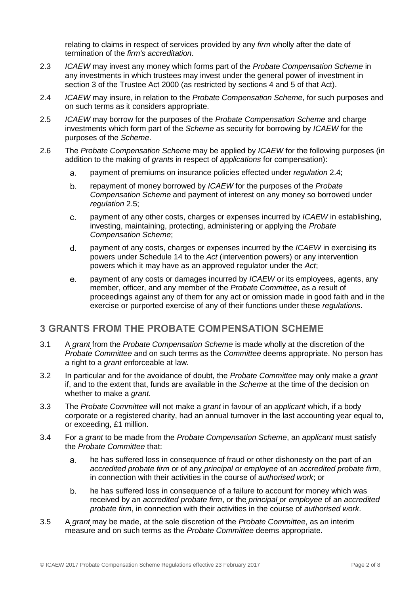relating to claims in respect of services provided by any *firm* wholly after the date of termination of the *firm's accreditation*.

- 2.3 *ICAEW* may invest any money which forms part of the *Probate Compensation Scheme* in any investments in which trustees may invest under the general power of investment in section 3 of the Trustee Act 2000 (as restricted by sections 4 and 5 of that Act).
- 2.4 *ICAEW* may insure, in relation to the *Probate Compensation Scheme*, for such purposes and on such terms as it considers appropriate.
- 2.5 *ICAEW* may borrow for the purposes of the *Probate Compensation Scheme* and charge investments which form part of the *Scheme* as security for borrowing by *ICAEW* for the purposes of the *Scheme*.
- 2.6 The *Probate Compensation Scheme* may be applied by *ICAEW* for the following purposes (in addition to the making of *grants* in respect of *applications* for compensation):
	- a. payment of premiums on insurance policies effected under *regulation* 2.4;
	- $b<sub>1</sub>$ repayment of money borrowed by *ICAEW* for the purposes of the *Probate Compensation Scheme* and payment of interest on any money so borrowed under *regulation* 2.5;
	- payment of any other costs, charges or expenses incurred by *ICAEW* in establishing,  $C_{-}$ investing, maintaining, protecting, administering or applying the *Probate Compensation Scheme*;
	- d. payment of any costs, charges or expenses incurred by the *ICAEW* in exercising its powers under Schedule 14 to the *Act* (intervention powers) or any intervention powers which it may have as an approved regulator under the *Act*;
	- payment of any costs or damages incurred by *ICAEW* or its employees, agents, any е. member, officer, and any member of the *Probate Committee*, as a result of proceedings against any of them for any act or omission made in good faith and in the exercise or purported exercise of any of their functions under these *regulations*.

#### **3 GRANTS FROM THE PROBATE COMPENSATION SCHEME**

- 3.1 A *grant* from the *Probate Compensation Scheme* is made wholly at the discretion of the *Probate Committee* and on such terms as the *Committee* deems appropriate. No person has a right to a *grant e*nforceable at law.
- 3.2 In particular and for the avoidance of doubt, the *Probate Committee* may only make a *grant* if, and to the extent that, funds are available in the *Scheme* at the time of the decision on whether to make a *grant*.
- 3.3 The *Probate Committee* will not make a *grant* in favour of an *applicant* which, if a body corporate or a registered charity, had an annual turnover in the last accounting year equal to, or exceeding, £1 million.
- 3.4 For a *grant* to be made from the *Probate Compensation Scheme*, an *applicant* must satisfy the *Probate Committee* that:
	- he has suffered loss in consequence of fraud or other dishonesty on the part of an a. *accredited probate firm* or of any *principal o*r *employee* of an *accredited probate firm*, in connection with their activities in the course of *authorised work*; or
	- b. he has suffered loss in consequence of a failure to account for money which was received by an *accredited probate firm*, or the *principal* or *employee* of an *accredited probate firm*, in connection with their activities in the course of *authorised work*.
- 3.5 A *grant* may be made, at the sole discretion of the *Probate Committee*, as an interim measure and on such terms as the *Probate Committee* deems appropriate.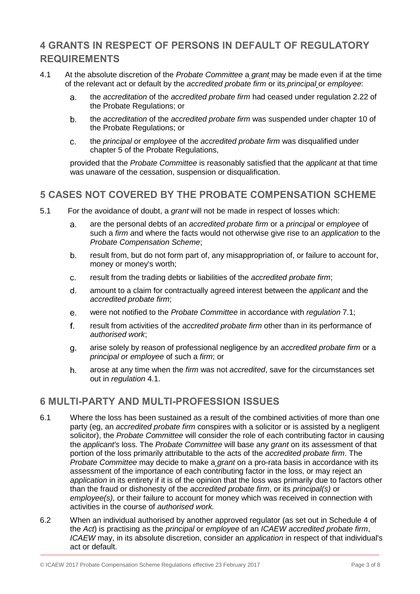# **4 GRANTS IN RESPECT OF PERSONS IN DEFAULT OF REGULATORY REQUIREMENTS**

- 4.1 At the absolute discretion of the *Probate Committee* a *grant* may be made even if at the time of the relevant act or default by the *accredited probate firm* or its *principal* or *employee*:
	- the *accreditation* of the *accredited probate firm* had ceased under regulation 2.22 of a. the Probate Regulations; or
	- $b<sub>1</sub>$ the *accreditation* of the *accredited probate firm* was suspended under chapter 10 of the Probate Regulations; or
	- $C_{-}$ the *principal o*r *employee* of the *accredited probate firm* was disqualified under chapter 5 of the Probate Regulations,

provided that the *Probate Committee* is reasonably satisfied that the *applicant* at that time was unaware of the cessation, suspension or disqualification.

## **5 CASES NOT COVERED BY THE PROBATE COMPENSATION SCHEME**

- 5.1 For the avoidance of doubt, a *grant* will not be made in respect of losses which:
	- are the personal debts of an *accredited probate firm* or a *principal* or *employee* of a. such a *firm a*nd where the facts would not otherwise give rise to an *application* to the *Probate Compensation Scheme*;
	- result from, but do not form part of, any misappropriation of, or failure to account for,  $b_{\cdot}$ money or money's worth;
	- result from the trading debts or liabilities of the *accredited probate firm*;  $C<sub>1</sub>$
	- $d_{-}$ amount to a claim for contractually agreed interest between the *applicant* and the *accredited probate firm*;
	- were not notified to the *Probate Committee* in accordance with *regulation* 7.1;  $e<sub>1</sub>$
	- f. result from activities of the *accredited probate firm* other than in its performance of *authorised work*;
	- arise solely by reason of professional negligence by an *accredited probate firm* or a g. *principal o*r *employee* of such a *firm*; or
	- arose at any time when the *firm* was not *accredited*, save for the circumstances set h. out in *regulation* 4.1.

#### **6 MULTI-PARTY AND MULTI-PROFESSION ISSUES**

- 6.1 Where the loss has been sustained as a result of the combined activities of more than one party (eg, an *accredited probate firm* conspires with a solicitor or is assisted by a negligent solicitor), the *Probate Committee* will consider the role of each contributing factor in causing the *applicant's* loss. The *Probate Committee* will base any *grant* on its assessment of that portion of the loss primarily attributable to the acts of the *accredited probate firm*. The *Probate Committee* may decide to make a *grant* on a pro-rata basis in accordance with its assessment of the importance of each contributing factor in the loss, or may reject an *application* in its entirety if it is of the opinion that the loss was primarily due to factors other than the fraud or dishonesty of the *accredited probate firm*, or its *principal(s)* or *employee(s),* or their failure to account for money which was received in connection with activities in the course of *authorised work.*
- 6.2 When an individual authorised by another approved regulator (as set out in Schedule 4 of the *Act*) is practising as the *principal* or *employee* of an *ICAEW accredited probate firm*, *ICAEW* may, in its absolute discretion, consider an *application* in respect of that individual's act or default.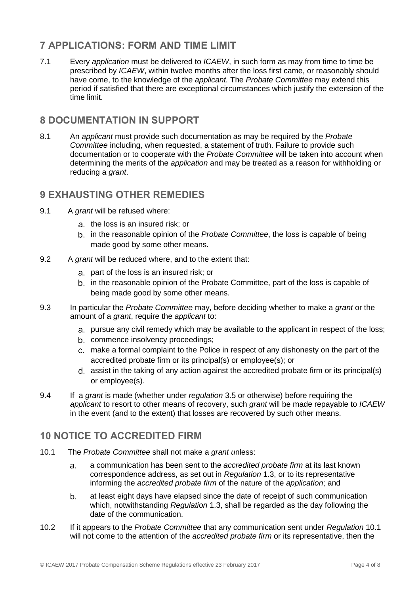# **7 APPLICATIONS: FORM AND TIME LIMIT**

7.1 Every *application* must be delivered to *ICAEW*, in such form as may from time to time be prescribed by *ICAEW*, within twelve months after the loss first came, or reasonably should have come, to the knowledge of the *applicant.* The *Probate Committee* may extend this period if satisfied that there are exceptional circumstances which justify the extension of the time limit.

## **8 DOCUMENTATION IN SUPPORT**

8.1 An *applicant* must provide such documentation as may be required by the *Probate Committee* including, when requested, a statement of truth. Failure to provide such documentation or to cooperate with the *Probate Committee* will be taken into account when determining the merits of the *application* and may be treated as a reason for withholding or reducing a *grant*.

### **9 EXHAUSTING OTHER REMEDIES**

- 9.1 A *grant* will be refused where:
	- a. the loss is an insured risk; or
	- b. in the reasonable opinion of the *Probate Committee*, the loss is capable of being made good by some other means.
- 9.2 A *grant* will be reduced where, and to the extent that:
	- part of the loss is an insured risk; or
	- b. in the reasonable opinion of the Probate Committee, part of the loss is capable of being made good by some other means.
- 9.3 In particular the *Probate Committee* may, before deciding whether to make a *grant* or the amount of a *grant*, require the *applicant* to:
	- pursue any civil remedy which may be available to the applicant in respect of the loss;
	- b. commence insolvency proceedings;
	- make a formal complaint to the Police in respect of any dishonesty on the part of the accredited probate firm or its principal(s) or employee(s); or
	- assist in the taking of any action against the accredited probate firm or its principal(s) or employee(s).
- 9.4 If a *grant* is made (whether under *regulation* 3.5 or otherwise) before requiring the *applicant* to resort to other means of recovery, such *grant* will be made repayable to *ICAEW* in the event (and to the extent) that losses are recovered by such other means.

#### **10 NOTICE TO ACCREDITED FIRM**

- 10.1 The *Probate Committee* shall not make a *grant u*nless:
	- a communication has been sent to the *accredited probate firm* at its last known a. correspondence address, as set out in *Regulation* 1.3, or to its representative informing the *accredited probate firm* of the nature of the *application*; and
	- b. at least eight days have elapsed since the date of receipt of such communication which, notwithstanding *Regulation* 1.3, shall be regarded as the day following the date of the communication.
- 10.2 If it appears to the *Probate Committee* that any communication sent under *Regulation* 10.1 will not come to the attention of the *accredited probate firm* or its representative, then the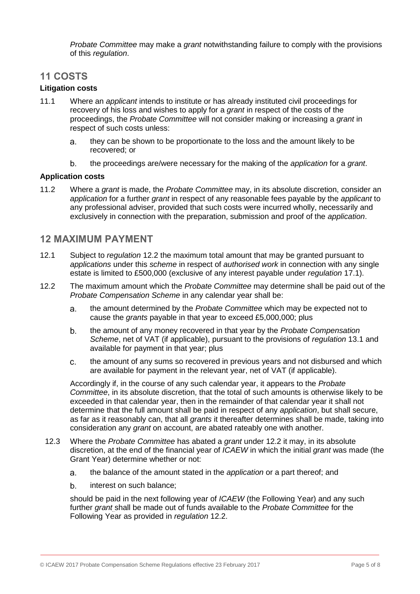*Probate Committee* may make a *grant* notwithstanding failure to comply with the provisions of this *regulation*.

#### **11 COSTS**

#### **Litigation costs**

- 11.1 Where an *applicant* intends to institute or has already instituted civil proceedings for recovery of his loss and wishes to apply for a *grant* in respect of the costs of the proceedings, the *Probate Committee* will not consider making or increasing a *grant* in respect of such costs unless:
	- a. they can be shown to be proportionate to the loss and the amount likely to be recovered; or
	- b. the proceedings are/were necessary for the making of the *application* for a *grant*.

#### **Application costs**

11.2 Where a *grant* is made, the *Probate Committee* may, in its absolute discretion, consider an *application* for a further *grant* in respect of any reasonable fees payable by the *applicant* to any professional adviser, provided that such costs were incurred wholly, necessarily and exclusively in connection with the preparation, submission and proof of the *application*.

#### **12 MAXIMUM PAYMENT**

- 12.1 Subject to *regulation* 12.2 the maximum total amount that may be granted pursuant to *applications* under this *scheme* in respect of *authorised work* in connection with any single estate is limited to £500,000 (exclusive of any interest payable under *regulation* 17.1).
- 12.2 The maximum amount which the *Probate Committee* may determine shall be paid out of the *Probate Compensation Scheme* in any calendar year shall be:
	- the amount determined by the *Probate Committee* which may be expected not to a. cause the *grants* payable in that year to exceed £5,000,000; plus
	- b. the amount of any money recovered in that year by the *Probate Compensation Scheme*, net of VAT (if applicable), pursuant to the provisions of *regulation* 13.1 and available for payment in that year; plus
	- the amount of any sums so recovered in previous years and not disbursed and which  $C<sub>1</sub>$ are available for payment in the relevant year, net of VAT (if applicable).

Accordingly if, in the course of any such calendar year, it appears to the *Probate Committee*, in its absolute discretion, that the total of such amounts is otherwise likely to be exceeded in that calendar year, then in the remainder of that calendar year it shall not determine that the full amount shall be paid in respect of any *application*, but shall secure, as far as it reasonably can, that all *grants* it thereafter determines shall be made, taking into consideration any *grant* on account, are abated rateably one with another.

- 12.3 Where the *Probate Committee* has abated a *grant* under 12.2 it may, in its absolute discretion, at the end of the financial year of *ICAEW* in which the initial *grant* was made (the Grant Year) determine whether or not:
	- the balance of the amount stated in the *application* or a part thereof; and a.
	- b. interest on such balance;

should be paid in the next following year of *ICAEW* (the Following Year) and any such further *grant* shall be made out of funds available to the *Probate Committee* for the Following Year as provided in *regulation* 12.2.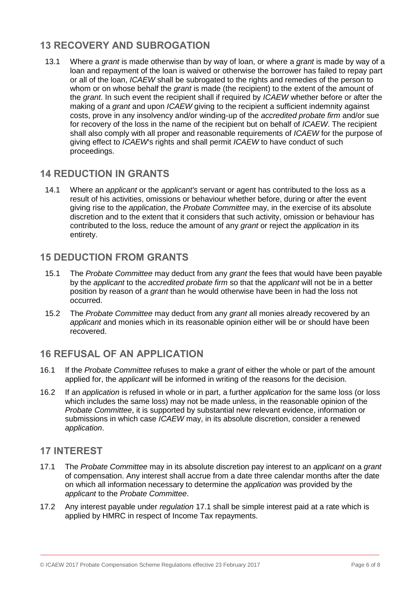# **13 RECOVERY AND SUBROGATION**

13.1 Where a *grant* is made otherwise than by way of loan, or where a *grant* is made by way of a loan and repayment of the loan is waived or otherwise the borrower has failed to repay part or all of the loan, *ICAEW* shall be subrogated to the rights and remedies of the person to whom or on whose behalf the *grant* is made (the recipient) to the extent of the amount of the *grant*. In such event the recipient shall if required by *ICAEW* whether before or after the making of a *grant* and upon *ICAEW* giving to the recipient a sufficient indemnity against costs, prove in any insolvency and/or winding-up of the *accredited probate firm* and/or sue for recovery of the loss in the name of the recipient but on behalf of *ICAEW*. The recipient shall also comply with all proper and reasonable requirements of *ICAEW* for the purpose of giving effect to *ICAEW*'s rights and shall permit *ICAEW* to have conduct of such proceedings.

#### **14 REDUCTION IN GRANTS**

14.1 Where an *applicant* or the *applicant's* servant or agent has contributed to the loss as a result of his activities, omissions or behaviour whether before, during or after the event giving rise to the *application*, the *Probate Committee* may, in the exercise of its absolute discretion and to the extent that it considers that such activity, omission or behaviour has contributed to the loss, reduce the amount of any *grant* or reject the *application* in its entirety.

#### **15 DEDUCTION FROM GRANTS**

- 15.1 The *Probate Committee* may deduct from any *grant* the fees that would have been payable by the *applicant* to the *accredited probate firm* so that the *applicant* will not be in a better position by reason of a *grant* than he would otherwise have been in had the loss not occurred.
- 15.2 The *Probate Committee* may deduct from any *grant* all monies already recovered by an *applicant* and monies which in its reasonable opinion either will be or should have been recovered.

## **16 REFUSAL OF AN APPLICATION**

- 16.1 If the *Probate Committee* refuses to make a *grant* of either the whole or part of the amount applied for, the *applicant* will be informed in writing of the reasons for the decision.
- 16.2 If an *application* is refused in whole or in part, a further *application* for the same loss (or loss which includes the same loss) may not be made unless, in the reasonable opinion of the *Probate Committee*, it is supported by substantial new relevant evidence, information or submissions in which case *ICAEW* may, in its absolute discretion, consider a renewed *application*.

#### **17 INTEREST**

- 17.1 The *Probate Committee* may in its absolute discretion pay interest to an *applicant* on a *grant*  of compensation. Any interest shall accrue from a date three calendar months after the date on which all information necessary to determine the *application* was provided by the *applicant* to the *Probate Committee*.
- 17.2 Any interest payable under *regulation* 17.1 shall be simple interest paid at a rate which is applied by HMRC in respect of Income Tax repayments.